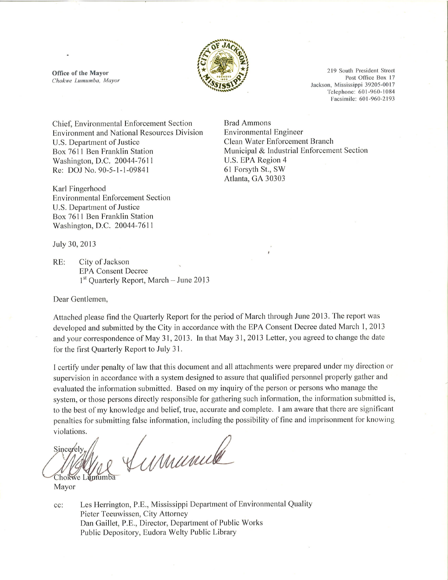

**Brad Ammons** 

Environmental Engineer

U.S. EPA Region 4

61 Forsyth St., SW

Atlanta, GA 30303

Clean Water Enforcement Branch

Municipal & Industrial Enforcement Section

Office of the Mayor Chokwe Lumumba, Mayor

219 South President Street Post Office Box 17 Jackson, Mississippi 39205-0017 Telephone: 601-960-1084 Facsimile: 601-960-2193

Chief, Environmental Enforcement Section **Environment and National Resources Division** U.S. Department of Justice Box 7611 Ben Franklin Station Washington, D.C. 20044-7611 Re: DOJ No. 90-5-1-1-09841

Karl Fingerhood **Environmental Enforcement Section** U.S. Department of Justice Box 7611 Ben Franklin Station Washington, D.C. 20044-7611

July 30, 2013

City of Jackson RE: **EPA Consent Decree**  $1<sup>st</sup>$  Ouarterly Report, March – June 2013

Dear Gentlemen,

Attached please find the Quarterly Report for the period of March through June 2013. The report was developed and submitted by the City in accordance with the EPA Consent Decree dated March 1, 2013 and your correspondence of May 31, 2013. In that May 31, 2013 Letter, you agreed to change the date for the first Quarterly Report to July 31.

I certify under penalty of law that this document and all attachments were prepared under my direction or supervision in accordance with a system designed to assure that qualified personnel properly gather and evaluated the information submitted. Based on my inquiry of the person or persons who manage the system, or those persons directly responsible for gathering such information, the information submitted is, to the best of my knowledge and belief, true, accurate and complete. I am aware that there are significant penalties for submitting false information, including the possibility of fine and imprisonment for knowing violations.

Maumille Sincerely Chokwe Lumumba

Mayor

Les Herrington, P.E., Mississippi Department of Environmental Quality cc: Pieter Teeuwissen, City Attorney Dan Gaillet, P.E., Director, Department of Public Works Public Depository, Eudora Welty Public Library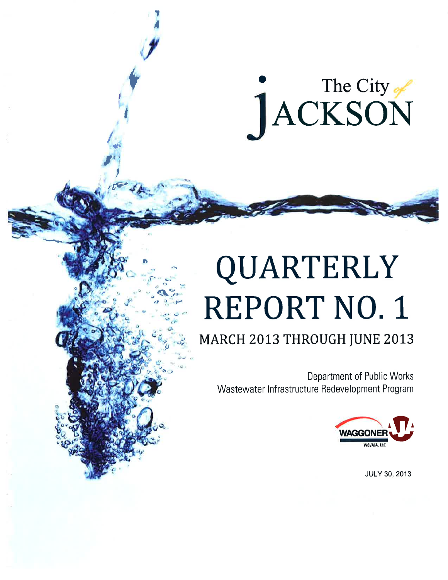# The City

# QUARTERLY **REPORT NO. 1**

### MARCH 2013 THROUGH JUNE 2013

Department of Public Works Wastewater Infrastructure Redevelopment Program



**JULY 30, 2013**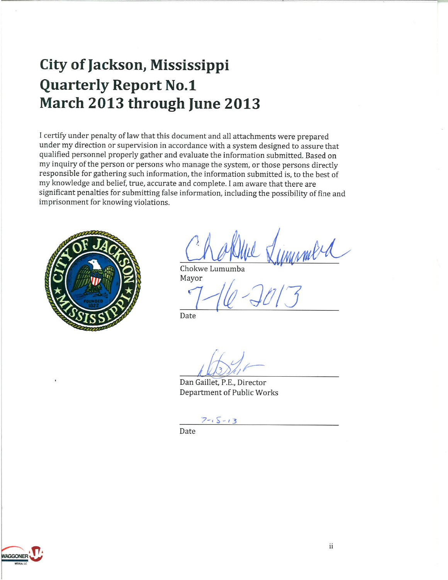## City of Jackson, Mississippi **Quarterly Report No.1** March 2013 through June 2013

I certify under penalty of law that this document and all attachments were prepared under my direction or supervision in accordance with a system designed to assure that qualified personnel properly gather and evaluate the information submitted. Based on my inquiry of the person or persons who manage the system, or those persons directly responsible for gathering such information, the information submitted is, to the best of my knowledge and belief, true, accurate and complete. I am aware that there are significant penalties for submitting false information, including the possibility of fine and imprisonment for knowing violations.



Chokwe Lumumba

Mayor

Date

Dan Gaillet, P.E., Director Department of Public Works

Date

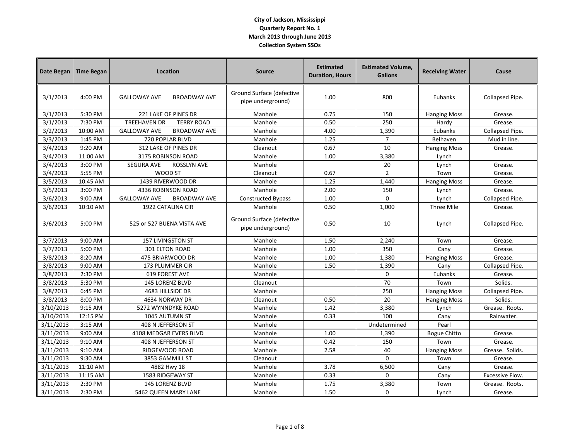| Date Began | <b>Time Began</b> | Location                                   | <b>Source</b>                                  | <b>Estimated</b><br><b>Duration, Hours</b> | <b>Estimated Volume,</b><br><b>Gallons</b> | <b>Receiving Water</b> | Cause                  |
|------------|-------------------|--------------------------------------------|------------------------------------------------|--------------------------------------------|--------------------------------------------|------------------------|------------------------|
| 3/1/2013   | $4:00$ PM         | <b>GALLOWAY AVE</b><br><b>BROADWAY AVE</b> | Ground Surface (defective<br>pipe underground) | 1.00                                       | 800                                        | Eubanks                | Collapsed Pipe.        |
| 3/1/2013   | 5:30 PM           | 221 LAKE OF PINES DR                       | Manhole                                        | 0.75                                       | 150                                        | <b>Hanging Moss</b>    | Grease.                |
| 3/1/2013   | 7:30 PM           | <b>TREEHAVEN DR</b><br><b>TERRY ROAD</b>   | Manhole                                        | 0.50                                       | 250                                        | Hardy                  | Grease.                |
| 3/2/2013   | 10:00 AM          | <b>GALLOWAY AVE</b><br><b>BROADWAY AVE</b> | Manhole                                        | 4.00                                       | 1,390                                      | Eubanks                | Collapsed Pipe.        |
| 3/3/2013   | 1:45 PM           | 720 POPLAR BLVD                            | Manhole                                        | 1.25                                       | $\overline{7}$                             | Belhaven               | Mud in line.           |
| 3/4/2013   | 9:20 AM           | 312 LAKE OF PINES DR                       | Cleanout                                       | 0.67                                       | 10                                         | <b>Hanging Moss</b>    | Grease.                |
| 3/4/2013   | 11:00 AM          | 3175 ROBINSON ROAD                         | Manhole                                        | 1.00                                       | 3,380                                      | Lynch                  |                        |
| 3/4/2013   | 3:00 PM           | <b>ROSSLYN AVE</b><br><b>SEGURA AVE</b>    | Manhole                                        |                                            | 20                                         | Lynch                  | Grease.                |
| 3/4/2013   | 5:55 PM           | WOOD ST                                    | Cleanout                                       | 0.67                                       | $\overline{2}$                             | Town                   | Grease.                |
| 3/5/2013   | 10:45 AM          | 1439 RIVERWOOD DR                          | Manhole                                        | 1.25                                       | 1,440                                      | <b>Hanging Moss</b>    | Grease.                |
| 3/5/2013   | 3:00 PM           | 4336 ROBINSON ROAD                         | Manhole                                        | 2.00                                       | 150                                        | Lynch                  | Grease.                |
| 3/6/2013   | 9:00 AM           | <b>GALLOWAY AVE</b><br><b>BROADWAY AVE</b> | <b>Constructed Bypass</b>                      | 1.00                                       | $\Omega$                                   | Lynch                  | Collapsed Pipe.        |
| 3/6/2013   | 10:10 AM          | 1922 CATALINA CIR                          | Manhole                                        | 0.50                                       | 1,000                                      | Three Mile             | Grease.                |
| 3/6/2013   | 5:00 PM           | 525 or 527 BUENA VISTA AVE                 | Ground Surface (defective<br>pipe underground) | 0.50                                       | 10                                         | Lynch                  | Collapsed Pipe.        |
| 3/7/2013   | 9:00 AM           | <b>157 LIVINGSTON ST</b>                   | Manhole                                        | 1.50                                       | 2,240                                      | Town                   | Grease.                |
| 3/7/2013   | 5:00 PM           | 301 ELTON ROAD                             | Manhole                                        | 1.00                                       | 350                                        | Cany                   | Grease.                |
| 3/8/2013   | 8:20 AM           | 475 BRIARWOOD DR                           | Manhole                                        | 1.00                                       | 1,380                                      | <b>Hanging Moss</b>    | Grease.                |
| 3/8/2013   | 9:00 AM           | 173 PLUMMER CIR                            | Manhole                                        | 1.50                                       | 1,390                                      | Cany                   | Collapsed Pipe.        |
| 3/8/2013   | 2:30 PM           | <b>619 FOREST AVE</b>                      | Manhole                                        |                                            | $\mathbf 0$                                | Eubanks                | Grease.                |
| 3/8/2013   | 5:30 PM           | 145 LORENZ BLVD                            | Cleanout                                       |                                            | 70                                         | Town                   | Solids.                |
| 3/8/2013   | 6:45 PM           | 4683 HILLSIDE DR                           | Manhole                                        |                                            | 250                                        | <b>Hanging Moss</b>    | Collapsed Pipe.        |
| 3/8/2013   | 8:00 PM           | 4634 NORWAY DR                             | Cleanout                                       | 0.50                                       | 20                                         | <b>Hanging Moss</b>    | Solids.                |
| 3/10/2013  | 9:15 AM           | 5272 WYNNDYKE ROAD                         | Manhole                                        | 1.42                                       | 3.380                                      | Lynch                  | Grease. Roots.         |
| 3/10/2013  | 12:15 PM          | 1045 AUTUMN ST                             | Manhole                                        | 0.33                                       | 100                                        | Cany                   | Rainwater.             |
| 3/11/2013  | 3:15 AM           | 408 N JEFFERSON ST                         | Manhole                                        |                                            | Undetermined                               | Pearl                  |                        |
| 3/11/2013  | 9:00 AM           | 4108 MEDGAR EVERS BLVD                     | Manhole                                        | 1.00                                       | 1,390                                      | <b>Bogue Chitto</b>    | Grease.                |
| 3/11/2013  | 9:10 AM           | 408 N JEFFERSON ST                         | Manhole                                        | 0.42                                       | 150                                        | Town                   | Grease.                |
| 3/11/2013  | 9:10 AM           | RIDGEWOOD ROAD                             | Manhole                                        | 2.58                                       | 40                                         | <b>Hanging Moss</b>    | Grease. Solids.        |
| 3/11/2013  | 9:30 AM           | 3853 GAMMILL ST                            | Cleanout                                       |                                            | $\mathbf 0$                                | Town                   | Grease.                |
| 3/11/2013  | 11:10 AM          | 4882 Hwy 18                                | Manhole                                        | 3.78                                       | 6,500                                      | Cany                   | Grease.                |
| 3/11/2013  | 11:15 AM          | 1583 RIDGEWAY ST                           | Manhole                                        | 0.33                                       | $\mathbf 0$                                | Cany                   | <b>Excessive Flow.</b> |
| 3/11/2013  | 2:30 PM           | 145 LORENZ BLVD                            | Manhole                                        | 1.75                                       | 3,380                                      | Town                   | Grease. Roots.         |
| 3/11/2013  | 2:30 PM           | <b>5462 QUEEN MARY LANE</b>                | Manhole                                        | 1.50                                       | $\mathbf 0$                                | Lynch                  | Grease.                |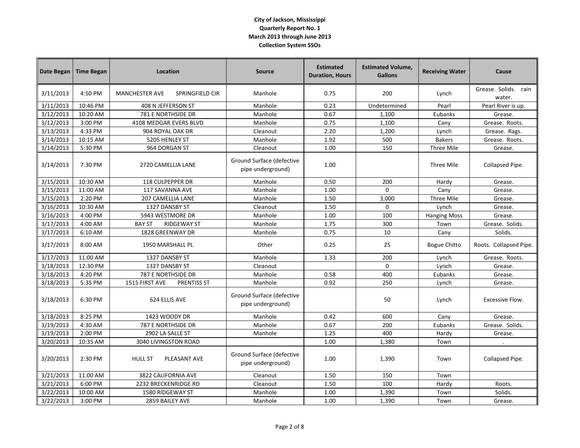| <b>Date Began</b> | <b>Time Began</b> | Location                                 | <b>Source</b>                                  | <b>Estimated</b><br><b>Duration, Hours</b> | <b>Estimated Volume,</b><br><b>Gallons</b> | <b>Receiving Water</b> | Cause                             |
|-------------------|-------------------|------------------------------------------|------------------------------------------------|--------------------------------------------|--------------------------------------------|------------------------|-----------------------------------|
| 3/11/2013         | 4:50 PM           | <b>MANCHESTER AVE</b><br>SPRINGFIELD CIR | Manhole                                        | 0.75                                       | 200                                        | Lynch                  | Grease. Solids.<br>rain<br>water. |
| 3/11/2013         | 10:46 PM          | 408 N JEFFERSON ST                       | Manhole                                        | 0.23                                       | Undetermined                               | Pearl                  | Pearl River is up.                |
| 3/12/2013         | 10:20 AM          | 781 E NORTHSIDE DR                       | Manhole                                        | 0.67                                       | 1,100                                      | Eubanks                | Grease.                           |
| 3/12/2013         | 3:00 PM           | 4108 MEDGAR EVERS BLVD                   | Manhole                                        | 0.75                                       | 1,100                                      | Cany                   | Grease. Roots.                    |
| 3/13/2013         | 4:33 PM           | 904 ROYAL OAK DR                         | Cleanout                                       | 2.20                                       | 1,200                                      | Lynch                  | Grease. Rags.                     |
| 3/14/2013         | 10:15 AM          | 5205 HENLEY ST                           | Manhole                                        | 1.92                                       | 500                                        | <b>Bakers</b>          | Grease. Roots.                    |
| 3/14/2013         | 5:30 PM           | 964 DORGAN ST                            | Cleanout                                       | 1.00                                       | 150                                        | Three Mile             | Grease.                           |
| 3/14/2013         | 7:30 PM           | 2720 CAMELLIA LANE                       | Ground Surface (defective<br>pipe underground) | 1.00                                       |                                            | Three Mile             | Collapsed Pipe.                   |
| 3/15/2013         | 10:30 AM          | 118 CULPEPPER DR                         | Manhole                                        | 0.50                                       | 200                                        | Hardy                  | Grease.                           |
| 3/15/2013         | 11:00 AM          | 117 SAVANNA AVE                          | Manhole                                        | 1.00                                       | $\mathbf 0$                                | Cany                   | Grease.                           |
| 3/15/2013         | 2:20 PM           | <b>207 CAMELLIA LANE</b>                 | Manhole                                        | 1.50                                       | 3,000                                      | Three Mile             | Grease.                           |
| 3/16/2013         | 10:30 AM          | 1327 DANSBY ST                           | Cleanout                                       | 1.50                                       | 0                                          | Lynch                  | Grease.                           |
| 3/16/2013         | 4:00 PM           | 5943 WESTMORE DR                         | Manhole                                        | 1.00                                       | 100                                        | <b>Hanging Moss</b>    | Grease.                           |
| 3/17/2013         | 4:00 AM           | <b>BAY ST</b><br><b>RIDGEWAY ST</b>      | Manhole                                        | 1.75                                       | 300                                        | Town                   | Grease. Solids.                   |
| 3/17/2013         | 6:10 AM           | 1828 GREENWAY DR                         | Manhole                                        | 0.75                                       | 10                                         | Cany                   | Solids.                           |
| 3/17/2013         | 8:00 AM           | 1950 MARSHALL PL                         | Other                                          | 0.25                                       | 25                                         | Bogue Chitto           | Roots. Collapsed Pipe.            |
| 3/17/2013         | 11:00 AM          | 1327 DANSBY ST                           | Manhole                                        | 1.33                                       | 200                                        | Lynch                  | Grease. Roots.                    |
| 3/18/2013         | 12:30 PM          | 1327 DANSBY ST                           | Cleanout                                       |                                            | $\Omega$                                   | Lynch                  | Grease.                           |
| 3/18/2013         | 4:20 PM           | 787 E NORTHSIDE DR                       | Manhole                                        | 0.58                                       | 400                                        | Eubanks                | Grease.                           |
| 3/18/2013         | 5:35 PM           | 1515 FIRST AVE<br>PRENTISS ST            | Manhole                                        | 0.92                                       | 250                                        | Lynch                  | Grease.                           |
| 3/18/2013         | 6:30 PM           | 624 ELLIS AVE                            | Ground Surface (defective<br>pipe underground) |                                            | 50                                         | Lynch                  | Excessive Flow.                   |
| 3/18/2013         | 8:25 PM           | 1423 WOODY DR                            | Manhole                                        | 0.42                                       | 600                                        | Cany                   | Grease.                           |
| 3/19/2013         | 4:30 AM           | 787 E NORTHSIDE DR                       | Manhole                                        | 0.67                                       | 200                                        | Eubanks                | Grease. Solids.                   |
| 3/19/2013         | 2:00 PM           | 2902 LA SALLE ST                         | Manhole                                        | 1.25                                       | 400                                        | Hardy                  | Grease.                           |
| 3/20/2013         | 10:35 AM          | 3040 LIVINGSTON ROAD                     |                                                | 1.00                                       | 1,380                                      | Town                   |                                   |
| 3/20/2013         | 2:30 PM           | <b>HULL ST</b><br>PLEASANT AVE           | Ground Surface (defective<br>pipe underground) | 1.00                                       | 1,390                                      | Town                   | Collapsed Pipe.                   |
| 3/21/2013         | 11:00 AM          | 3822 CALIFORNIA AVE                      | Cleanout                                       | 1.50                                       | 150                                        | Town                   |                                   |
| 3/21/2013         | 6:00 PM           | 2232 BRECKENRIDGE RD                     | Cleanout                                       | 1.50                                       | 100                                        | Hardy                  | Roots.                            |
| 3/22/2013         | 10:00 AM          | 1580 RIDGEWAY ST                         | Manhole                                        | 1.00                                       | 1,390                                      | Town                   | Solids.                           |
| 3/22/2013         | 3:00 PM           | 2859 BAILEY AVE                          | Manhole                                        | 1.00                                       | 1,390                                      | Town                   | Grease.                           |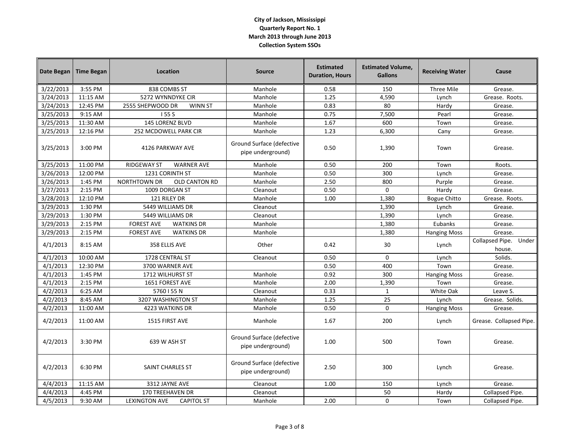| Date Began | <b>Time Began</b> | Location                                  | <b>Source</b>                                  | <b>Estimated</b><br><b>Duration, Hours</b> | <b>Estimated Volume,</b><br><b>Gallons</b> | <b>Receiving Water</b> | Cause                           |
|------------|-------------------|-------------------------------------------|------------------------------------------------|--------------------------------------------|--------------------------------------------|------------------------|---------------------------------|
| 3/22/2013  | 3:55 PM           | 838 COMBS ST                              | Manhole                                        | 0.58                                       | 150                                        | Three Mile             | Grease.                         |
| 3/24/2013  | 11:15 AM          | 5272 WYNNDYKE CIR                         | Manhole                                        | 1.25                                       | 4,590                                      | Lynch                  | Grease. Roots.                  |
| 3/24/2013  | 12:45 PM          | 2555 SHEPWOOD DR<br><b>WINN ST</b>        | Manhole                                        | 0.83                                       | 80                                         | Hardy                  | Grease.                         |
| 3/25/2013  | 9:15 AM           | 155 S                                     | Manhole                                        | 0.75                                       | 7,500                                      | Pearl                  | Grease.                         |
| 3/25/2013  | 11:30 AM          | 145 LORENZ BLVD                           | Manhole                                        | 1.67                                       | 600                                        | Town                   | Grease.                         |
| 3/25/2013  | 12:16 PM          | 252 MCDOWELL PARK CIR                     | Manhole                                        | 1.23                                       | 6,300                                      | Cany                   | Grease.                         |
| 3/25/2013  | 3:00 PM           | 4126 PARKWAY AVE                          | Ground Surface (defective<br>pipe underground) | 0.50                                       | 1,390                                      | Town                   | Grease.                         |
| 3/25/2013  | 11:00 PM          | <b>RIDGEWAY ST</b><br><b>WARNER AVE</b>   | Manhole                                        | 0.50                                       | 200                                        | Town                   | Roots.                          |
| 3/26/2013  | 12:00 PM          | 1231 CORINTH ST                           | Manhole                                        | 0.50                                       | 300                                        | Lynch                  | Grease.                         |
| 3/26/2013  | 1:45 PM           | <b>NORTHTOWN DR</b><br>OLD CANTON RD      | Manhole                                        | 2.50                                       | 800                                        | Purple                 | Grease.                         |
| 3/27/2013  | 2:15 PM           | 1009 DORGAN ST                            | Cleanout                                       | 0.50                                       | $\mathbf 0$                                | Hardy                  | Grease.                         |
| 3/28/2013  | 12:10 PM          | 121 RILEY DR                              | Manhole                                        | 1.00                                       | 1,380                                      | <b>Bogue Chitto</b>    | Grease. Roots.                  |
| 3/29/2013  | 1:30 PM           | 5449 WILLIAMS DR                          | Cleanout                                       |                                            | 1,390                                      | Lynch                  | Grease.                         |
| 3/29/2013  | 1:30 PM           | 5449 WILLIAMS DR                          | Cleanout                                       |                                            | 1,390                                      | Lynch                  | Grease.                         |
| 3/29/2013  | 2:15 PM           | <b>FOREST AVE</b><br><b>WATKINS DR</b>    | Manhole                                        |                                            | 1,380                                      | Eubanks                | Grease.                         |
| 3/29/2013  | 2:15 PM           | <b>FOREST AVE</b><br><b>WATKINS DR</b>    | Manhole                                        |                                            | 1,380                                      | <b>Hanging Moss</b>    | Grease.                         |
| 4/1/2013   | 8:15 AM           | 358 ELLIS AVE                             | Other                                          | 0.42                                       | 30                                         | Lynch                  | Collapsed Pipe. Under<br>house. |
| 4/1/2013   | 10:00 AM          | 1728 CENTRAL ST                           | Cleanout                                       | 0.50                                       | $\mathbf 0$                                | Lynch                  | Solids.                         |
| 4/1/2013   | 12:30 PM          | 3700 WARNER AVE                           |                                                | 0.50                                       | 400                                        | Town                   | Grease.                         |
| 4/1/2013   | 1:45 PM           | 1712 WILHURST ST                          | Manhole                                        | 0.92                                       | 300                                        | <b>Hanging Moss</b>    | Grease.                         |
| 4/1/2013   | 2:15 PM           | 1651 FOREST AVE                           | Manhole                                        | 2.00                                       | 1,390                                      | Town                   | Grease.                         |
| 4/2/2013   | 6:25 AM           | 5760 I 55 N                               | Cleanout                                       | 0.33                                       | $1\,$                                      | White Oak              | Leave S.                        |
| 4/2/2013   | 8:45 AM           | 3207 WASHINGTON ST                        | Manhole                                        | 1.25                                       | 25                                         | Lynch                  | Grease. Solids.                 |
| 4/2/2013   | 11:00 AM          | 4223 WATKINS DR                           | Manhole                                        | 0.50                                       | $\Omega$                                   | <b>Hanging Moss</b>    | Grease.                         |
| 4/2/2013   | 11:00 AM          | 1515 FIRST AVE                            | Manhole                                        | 1.67                                       | 200                                        | Lynch                  | Grease. Collapsed Pipe.         |
| 4/2/2013   | 3:30 PM           | 639 W ASH ST                              | Ground Surface (defective<br>pipe underground) | 1.00                                       | 500                                        | Town                   | Grease.                         |
| 4/2/2013   | 6:30 PM           | SAINT CHARLES ST                          | Ground Surface (defective<br>pipe underground) | 2.50                                       | 300                                        | Lynch                  | Grease.                         |
| 4/4/2013   | 11:15 AM          | 3312 JAYNE AVE                            | Cleanout                                       | 1.00                                       | 150                                        | Lynch                  | Grease.                         |
| 4/4/2013   | 4:45 PM           | <b>170 TREEHAVEN DR</b>                   | Cleanout                                       |                                            | 50                                         | Hardy                  | Collapsed Pipe.                 |
| 4/5/2013   | 9:30 AM           | <b>LEXINGTON AVE</b><br><b>CAPITOL ST</b> | Manhole                                        | 2.00                                       | 0                                          | Town                   | Collapsed Pipe.                 |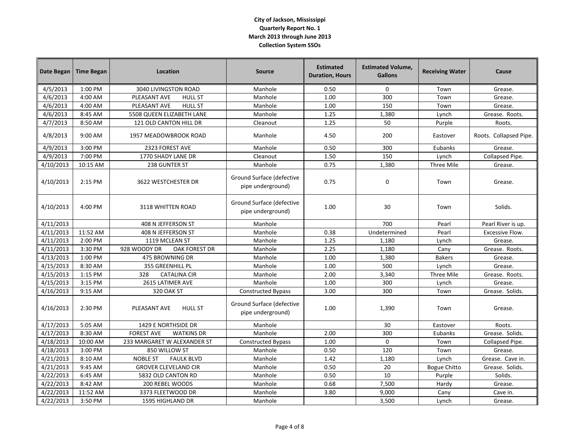| Date Began | <b>Time Began</b> | Location                               | <b>Source</b>                                  | <b>Estimated</b><br><b>Duration, Hours</b> | <b>Estimated Volume,</b><br><b>Gallons</b> | <b>Receiving Water</b> | Cause                  |
|------------|-------------------|----------------------------------------|------------------------------------------------|--------------------------------------------|--------------------------------------------|------------------------|------------------------|
| 4/5/2013   | 1:00 PM           | 3040 LIVINGSTON ROAD                   | Manhole                                        | 0.50                                       | $\mathbf 0$                                | Town                   | Grease.                |
| 4/6/2013   | 4:00 AM           | PLEASANT AVE<br><b>HULL ST</b>         | Manhole                                        | 1.00                                       | 300                                        | Town                   | Grease.                |
| 4/6/2013   | 4:00 AM           | PLEASANT AVE<br><b>HULL ST</b>         | Manhole                                        | 1.00                                       | 150                                        | Town                   | Grease.                |
| 4/6/2013   | 8:45 AM           | 5508 QUEEN ELIZABETH LANE              | Manhole                                        | 1.25                                       | 1,380                                      | Lynch                  | Grease. Roots.         |
| 4/7/2013   | 8:50 AM           | 121 OLD CANTON HILL DR                 | Cleanout                                       | 1.25                                       | 50                                         | Purple                 | Roots.                 |
| 4/8/2013   | 9:00 AM           | 1957 MEADOWBROOK ROAD                  | Manhole                                        | 4.50                                       | 200                                        | Eastover               | Roots. Collapsed Pipe. |
| 4/9/2013   | 3:00 PM           | 2323 FOREST AVE                        | Manhole                                        | 0.50                                       | 300                                        | Eubanks                | Grease.                |
| 4/9/2013   | 7:00 PM           | 1770 SHADY LANE DR                     | Cleanout                                       | 1.50                                       | 150                                        | Lynch                  | Collapsed Pipe.        |
| 4/10/2013  | 10:15 AM          | 238 GUNTER ST                          | Manhole                                        | 0.75                                       | 1,380                                      | Three Mile             | Grease.                |
| 4/10/2013  | 2:15 PM           | 3622 WESTCHESTER DR                    | Ground Surface (defective<br>pipe underground) | 0.75                                       | 0                                          | Town                   | Grease.                |
| 4/10/2013  | 4:00 PM           | 3118 WHITTEN ROAD                      | Ground Surface (defective<br>pipe underground) | 1.00                                       | 30                                         | Town                   | Solids.                |
| 4/11/2013  |                   | 408 N JEFFERSON ST                     | Manhole                                        |                                            | 700                                        | Pearl                  | Pearl River is up.     |
| 4/11/2013  | 11:52 AM          | 408 N JEFFERSON ST                     | Manhole                                        | 0.38                                       | Undetermined                               | Pearl                  | Excessive Flow.        |
| 4/11/2013  | 2:00 PM           | 1119 MCLEAN ST                         | Manhole                                        | 1.25                                       | 1,180                                      | Lynch                  | Grease.                |
| 4/11/2013  | 3:30 PM           | 928 WOODY DR<br><b>OAK FOREST DR</b>   | Manhole                                        | 2.25                                       | 1,180                                      | Cany                   | Grease. Roots.         |
| 4/13/2013  | 1:00 PM           | 475 BROWNING DR                        | Manhole                                        | 1.00                                       | 1,380                                      | <b>Bakers</b>          | Grease.                |
| 4/15/2013  | 8:30 AM           | 355 GREENHILL PL                       | Manhole                                        | 1.00                                       | 500                                        | Lynch                  | Grease.                |
| 4/15/2013  | 1:15 PM           | <b>CATALINA CIR</b><br>328             | Manhole                                        | 2.00                                       | 3,340                                      | Three Mile             | Grease. Roots.         |
| 4/15/2013  | 3:15 PM           | 2615 LATIMER AVE                       | Manhole                                        | 1.00                                       | 300                                        | Lynch                  | Grease.                |
| 4/16/2013  | 9:15 AM           | 320 OAK ST                             | <b>Constructed Bypass</b>                      | 3.00                                       | 300                                        | Town                   | Grease. Solids.        |
| 4/16/2013  | 2:30 PM           | PLEASANT AVE<br><b>HULL ST</b>         | Ground Surface (defective<br>pipe underground) | 1.00                                       | 1,390                                      | Town                   | Grease.                |
| 4/17/2013  | 5:05 AM           | 1429 E NORTHSIDE DR                    | Manhole                                        |                                            | 30                                         | Eastover               | Roots.                 |
| 4/17/2013  | 8:30 AM           | <b>FOREST AVE</b><br><b>WATKINS DR</b> | Manhole                                        | 2.00                                       | 300                                        | Eubanks                | Grease. Solids.        |
| 4/18/2013  | 10:00 AM          | 233 MARGARET W ALEXANDER ST            | <b>Constructed Bypass</b>                      | 1.00                                       | $\mathbf 0$                                | Town                   | Collapsed Pipe.        |
| 4/18/2013  | 3:00 PM           | 850 WILLOW ST                          | Manhole                                        | 0.50                                       | 120                                        | Town                   | Grease.                |
| 4/21/2013  | 8:10 AM           | <b>NOBLE ST</b><br><b>FAULK BLVD</b>   | Manhole                                        | 1.42                                       | 1,180                                      | Lynch                  | Grease. Cave in.       |
| 4/21/2013  | 9:45 AM           | <b>GROVER CLEVELAND CIR</b>            | Manhole                                        | 0.50                                       | 20                                         | <b>Bogue Chitto</b>    | Grease. Solids.        |
| 4/22/2013  | 6:45 AM           | 5832 OLD CANTON RD                     | Manhole                                        | 0.50                                       | 10                                         | Purple                 | Solids.                |
| 4/22/2013  | 8:42 AM           | 200 REBEL WOODS                        | Manhole                                        | 0.68                                       | 7,500                                      | Hardy                  | Grease.                |
| 4/22/2013  | 11:52 AM          | 3373 FLEETWOOD DR                      | Manhole                                        | 3.80                                       | 9,000                                      | Cany                   | Cave in.               |
| 4/22/2013  | 3:50 PM           | 1595 HIGHLAND DR                       | Manhole                                        |                                            | 3,500                                      | Lynch                  | Grease.                |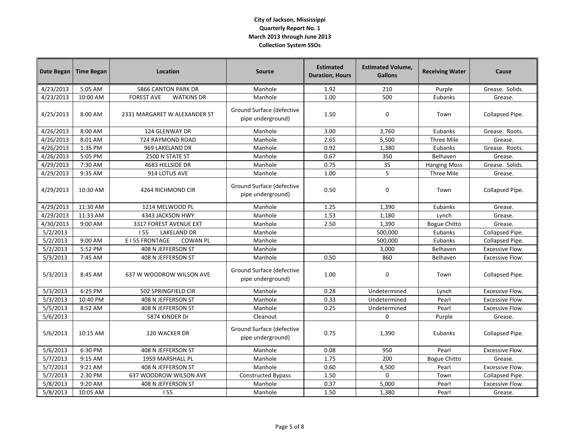| Date Began | <b>Time Began</b> | Location                               | <b>Source</b>                                  | <b>Estimated</b><br><b>Duration, Hours</b> | <b>Estimated Volume,</b><br><b>Gallons</b> | <b>Receiving Water</b> | Cause                  |
|------------|-------------------|----------------------------------------|------------------------------------------------|--------------------------------------------|--------------------------------------------|------------------------|------------------------|
| 4/23/2013  | 5:05 AM           | <b>5866 CANTON PARK DR</b>             | Manhole                                        | 1.92                                       | 210                                        | Purple                 | Grease. Solids.        |
| 4/23/2013  | 10:00 AM          | <b>FOREST AVE</b><br><b>WATKINS DR</b> | Manhole                                        | 1.00                                       | 500                                        | Eubanks                | Grease.                |
| 4/25/2013  | 8:00 AM           | 2331 MARGARET W ALEXANDER ST           | Ground Surface (defective<br>pipe underground) | 1.50                                       | $\mathbf 0$                                | Town                   | Collapsed Pipe.        |
| 4/26/2013  | 8:00 AM           | 124 GLENWAY DR                         | Manhole                                        | 3.00                                       | 3,760                                      | Eubanks                | Grease. Roots.         |
| 4/26/2013  | 8:01 AM           | 724 RAYMOND ROAD                       | Manhole                                        | 2.65                                       | 5,500                                      | Three Mile             | Grease.                |
| 4/26/2013  | 1:35 PM           | 969 LAKELAND DR                        | Manhole                                        | 0.92                                       | 1,380                                      | Eubanks                | Grease. Roots.         |
| 4/26/2013  | 5:05 PM           | 2500 N STATE ST                        | Manhole                                        | 0.67                                       | 350                                        | Belhaven               | Grease.                |
| 4/29/2013  | 7:30 AM           | 4683 HILLSIDE DR                       | Manhole                                        | 0.75                                       | 35                                         | <b>Hanging Moss</b>    | Grease. Solids.        |
| 4/29/2013  | 9:35 AM           | 914 LOTUS AVE                          | Manhole                                        | 1.00                                       | 5                                          | Three Mile             | Grease.                |
| 4/29/2013  | $10:30$ AM        | 4264 RICHMOND CIR                      | Ground Surface (defective<br>pipe underground) | 0.50                                       | 0                                          | Town                   | Collapsed Pipe.        |
| 4/29/2013  | 11:30 AM          | 1214 MELWOOD PL                        | Manhole                                        | 1.25                                       | 1,390                                      | Eubanks                | Grease.                |
| 4/29/2013  | 11:33 AM          | 4343 JACKSON HWY                       | Manhole                                        | 1.53                                       | 1,180                                      | Lynch                  | Grease.                |
| 4/30/2013  | 9:00 AM           | 3317 FOREST AVENUE EXT                 | Manhole                                        | 2.50                                       | 1,390                                      | <b>Bogue Chitto</b>    | Grease.                |
| 5/2/2013   |                   | 155<br><b>LAKELAND DR</b>              | Manhole                                        |                                            | 500,000                                    | Eubanks                | Collapsed Pipe.        |
| 5/2/2013   | 9:00 AM           | E I 55 FRONTAGE<br><b>COWAN PL</b>     | Manhole                                        |                                            | 500,000                                    | Eubanks                | Collapsed Pipe.        |
| 5/2/2013   | 5:52 PM           | 408 N JEFFERSON ST                     | Manhole                                        |                                            | 3,000                                      | Belhaven               | Excessive Flow.        |
| 5/3/2013   | 7:45 AM           | 408 N JEFFERSON ST                     | Manhole                                        | 0.50                                       | 860                                        | Belhaven               | <b>Excessive Flow.</b> |
| 5/3/2013   | 8:45 AM           | 637 W WOODROW WILSON AVE               | Ground Surface (defective<br>pipe underground) | 1.00                                       | 0                                          | Town                   | Collapsed Pipe.        |
| 5/3/2013   | 6:25 PM           | 502 SPRINGFIELD CIR                    | Manhole                                        | 0.28                                       | Undetermined                               | Lynch                  | <b>Excessive Flow.</b> |
| 5/3/2013   | 10:40 PM          | 408 N JEFFERSON ST                     | Manhole                                        | 0.33                                       | Undetermined                               | Pearl                  | Excessive Flow.        |
| 5/5/2013   | 8:52 AM           | 408 N JEFFERSON ST                     | Manhole                                        | 0.25                                       | Undetermined                               | Pearl                  | Excessive Flow.        |
| 5/6/2013   |                   | 5874 KINDER Dr                         | Cleanout                                       |                                            | $\Omega$                                   | Purple                 | Grease.                |
| 5/6/2013   | 10:15 AM          | 120 WACKER DR                          | Ground Surface (defective<br>pipe underground) | 0.75                                       | 1,390                                      | Eubanks                | Collapsed Pipe.        |
| 5/6/2013   | 6:30 PM           | 408 N JEFFERSON ST                     | Manhole                                        | 0.08                                       | 950                                        | Pearl                  | <b>Excessive Flow.</b> |
| 5/7/2013   | 9:15 AM           | 1959 MARSHALL PL                       | Manhole                                        | 1.75                                       | 200                                        | <b>Bogue Chitto</b>    | Grease.                |
| 5/7/2013   | 9:21 AM           | 408 N JEFFERSON ST                     | Manhole                                        | 0.60                                       | 4,500                                      | Pearl                  | Excessive Flow.        |
| 5/7/2013   | 2:30 PM           | 637 WOODROW WILSON AVE                 | <b>Constructed Bypass</b>                      | 1.50                                       | $\Omega$                                   | Town                   | Collapsed Pipe.        |
| 5/8/2013   | 9:20 AM           | 408 N JEFFERSON ST                     | Manhole                                        | 0.37                                       | 5,000                                      | Pearl                  | <b>Excessive Flow.</b> |
| 5/8/2013   | 10:05 AM          | <b>IS5</b>                             | Manhole                                        | 1.50                                       | 1,380                                      | Pearl                  | Grease.                |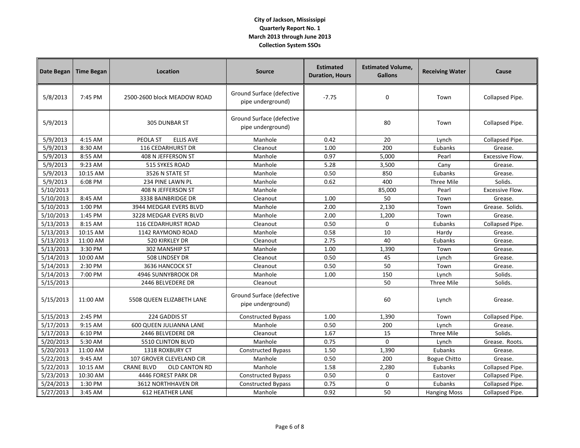| Date Began | <b>Time Began</b> | Location                           | <b>Source</b>                                  | <b>Estimated</b><br><b>Duration, Hours</b> | <b>Estimated Volume,</b><br><b>Gallons</b> | <b>Receiving Water</b> | Cause                  |
|------------|-------------------|------------------------------------|------------------------------------------------|--------------------------------------------|--------------------------------------------|------------------------|------------------------|
| 5/8/2013   | 7:45 PM           | 2500-2600 block MEADOW ROAD        | Ground Surface (defective<br>pipe underground) | $-7.75$                                    | 0                                          | Town                   | Collapsed Pipe.        |
| 5/9/2013   |                   | <b>305 DUNBAR ST</b>               | Ground Surface (defective<br>pipe underground) |                                            | 80                                         | Town                   | Collapsed Pipe.        |
| 5/9/2013   | 4:15 AM           | <b>ELLIS AVE</b><br>PEOLA ST       | Manhole                                        | 0.42                                       | 20                                         | Lynch                  | Collapsed Pipe.        |
| 5/9/2013   | 8:30 AM           | 116 CEDARHURST DR                  | Cleanout                                       | 1.00                                       | 200                                        | Eubanks                | Grease.                |
| 5/9/2013   | 8:55 AM           | 408 N JEFFERSON ST                 | Manhole                                        | 0.97                                       | 5,000                                      | Pearl                  | <b>Excessive Flow.</b> |
| 5/9/2013   | 9:23 AM           | 515 SYKES ROAD                     | Manhole                                        | 5.28                                       | 3,500                                      | Cany                   | Grease.                |
| 5/9/2013   | 10:15 AM          | 3526 N STATE ST                    | Manhole                                        | 0.50                                       | 850                                        | Eubanks                | Grease.                |
| 5/9/2013   | 6:08 PM           | 234 PINE LAWN PL                   | Manhole                                        | 0.62                                       | 400                                        | Three Mile             | Solids.                |
| 5/10/2013  |                   | 408 N JEFFERSON ST                 | Manhole                                        |                                            | 85,000                                     | Pearl                  | Excessive Flow.        |
| 5/10/2013  | 8:45 AM           | 3338 BAINBRIDGE DR                 | Cleanout                                       | 1.00                                       | 50                                         | Town                   | Grease.                |
| 5/10/2013  | 1:00 PM           | 3944 MEDGAR EVERS BLVD             | Manhole                                        | 2.00                                       | 2,130                                      | Town                   | Grease. Solids.        |
| 5/10/2013  | 1:45 PM           | 3228 MEDGAR EVERS BLVD             | Manhole                                        | 2.00                                       | 1,200                                      | Town                   | Grease.                |
| 5/13/2013  | 8:15 AM           | 116 CEDARHURST ROAD                | Cleanout                                       | 0.50                                       | 0                                          | Eubanks                | Collapsed Pipe.        |
| 5/13/2013  | 10:15 AM          | 1142 RAYMOND ROAD                  | Manhole                                        | 0.58                                       | 10                                         | Hardy                  | Grease.                |
| 5/13/2013  | 11:00 AM          | 520 KIRKLEY DR                     | Cleanout                                       | 2.75                                       | 40                                         | Eubanks                | Grease.                |
| 5/13/2013  | 3:30 PM           | 302 MANSHIP ST                     | Manhole                                        | 1.00                                       | 1,390                                      | Town                   | Grease.                |
| 5/14/2013  | 10:00 AM          | 508 LINDSEY DR                     | Cleanout                                       | 0.50                                       | 45                                         | Lynch                  | Grease.                |
| 5/14/2013  | 2:30 PM           | 3636 HANCOCK ST                    | Cleanout                                       | 0.50                                       | 50                                         | Town                   | Grease.                |
| 5/14/2013  | 7:00 PM           | 4946 SUNNYBROOK DR                 | Manhole                                        | 1.00                                       | 150                                        | Lynch                  | Solids.                |
| 5/15/2013  |                   | 2446 BELVEDERE DR                  | Cleanout                                       |                                            | 50                                         | Three Mile             | Solids.                |
| 5/15/2013  | 11:00 AM          | 5508 QUEEN ELIZABETH LANE          | Ground Surface (defective<br>pipe underground) |                                            | 60                                         | Lynch                  | Grease.                |
| 5/15/2013  | 2:45 PM           | 224 GADDIS ST                      | <b>Constructed Bypass</b>                      | 1.00                                       | 1,390                                      | Town                   | Collapsed Pipe.        |
| 5/17/2013  | 9:15 AM           | 600 QUEEN JULIANNA LANE            | Manhole                                        | 0.50                                       | 200                                        | Lynch                  | Grease.                |
| 5/17/2013  | 6:10 PM           | 2446 BELVEDERE DR                  | Cleanout                                       | 1.67                                       | 15                                         | Three Mile             | Solids.                |
| 5/20/2013  | 5:30 AM           | 5510 CLINTON BLVD                  | Manhole                                        | 0.75                                       | $\mathbf 0$                                | Lynch                  | Grease. Roots.         |
| 5/20/2013  | 11:00 AM          | 1318 ROXBURY CT                    | <b>Constructed Bypass</b>                      | 1.50                                       | 1,390                                      | Eubanks                | Grease.                |
| 5/22/2013  | 9:45 AM           | 107 GROVER CLEVELAND CIR           | Manhole                                        | 0.50                                       | 200                                        | <b>Bogue Chitto</b>    | Grease.                |
| 5/22/2013  | 10:15 AM          | <b>CRANE BLVD</b><br>OLD CANTON RD | Manhole                                        | 1.58                                       | 2,280                                      | Eubanks                | Collapsed Pipe.        |
| 5/23/2013  | 10:30 AM          | 4446 FOREST PARK DR                | <b>Constructed Bypass</b>                      | 0.50                                       | $\mathbf 0$                                | Eastover               | Collapsed Pipe.        |
| 5/24/2013  | 1:30 PM           | <b>3612 NORTHHAVEN DR</b>          | <b>Constructed Bypass</b>                      | 0.75                                       | $\mathbf 0$                                | Eubanks                | Collapsed Pipe.        |
| 5/27/2013  | 3:45 AM           | <b>612 HEATHER LANE</b>            | Manhole                                        | 0.92                                       | 50                                         | <b>Hanging Moss</b>    | Collapsed Pipe.        |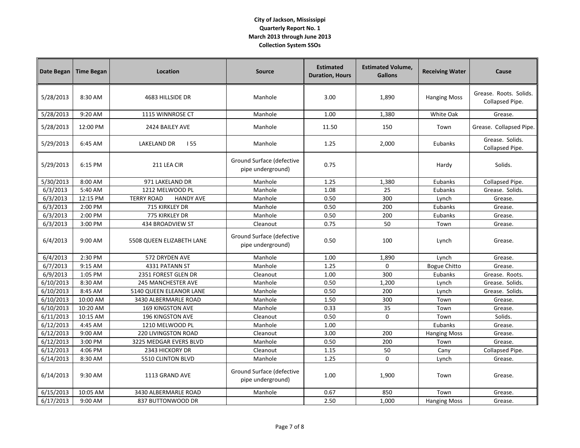| Date Began | <b>Time Began</b> | Location                              | <b>Source</b>                                  | <b>Estimated</b><br><b>Duration, Hours</b> | <b>Estimated Volume,</b><br><b>Gallons</b> | <b>Receiving Water</b> | Cause                                     |
|------------|-------------------|---------------------------------------|------------------------------------------------|--------------------------------------------|--------------------------------------------|------------------------|-------------------------------------------|
| 5/28/2013  | 8:30 AM           | 4683 HILLSIDE DR                      | Manhole                                        | 3.00                                       | 1,890                                      | <b>Hanging Moss</b>    | Grease. Roots. Solids.<br>Collapsed Pipe. |
| 5/28/2013  | 9:20 AM           | 1115 WINNROSE CT                      | Manhole                                        | 1.00                                       | 1,380                                      | White Oak              | Grease.                                   |
| 5/28/2013  | 12:00 PM          | 2424 BAILEY AVE                       | Manhole                                        | 11.50                                      | 150                                        | Town                   | Grease. Collapsed Pipe.                   |
| 5/29/2013  | 6:45 AM           | LAKELAND DR<br>155                    | Manhole                                        | 1.25                                       | 2,000                                      | Eubanks                | Grease. Solids.<br>Collapsed Pipe.        |
| 5/29/2013  | 6:15 PM           | 211 LEA CIR                           | Ground Surface (defective<br>pipe underground) | 0.75                                       |                                            | Hardy                  | Solids.                                   |
| 5/30/2013  | 8:00 AM           | 971 LAKELAND DR                       | Manhole                                        | 1.25                                       | 1,380                                      | Eubanks                | Collapsed Pipe.                           |
| 6/3/2013   | 5:40 AM           | 1212 MELWOOD PL                       | Manhole                                        | 1.08                                       | 25                                         | Eubanks                | Grease. Solids.                           |
| 6/3/2013   | 12:15 PM          | <b>HANDY AVE</b><br><b>TERRY ROAD</b> | Manhole                                        | 0.50                                       | 300                                        | Lynch                  | Grease.                                   |
| 6/3/2013   | 2:00 PM           | 715 KIRKLEY DR                        | Manhole                                        | 0.50                                       | 200                                        | Eubanks                | Grease.                                   |
| 6/3/2013   | 2:00 PM           | 775 KIRKLEY DR                        | Manhole                                        | 0.50                                       | 200                                        | Eubanks                | Grease.                                   |
| 6/3/2013   | 3:00 PM           | 434 BROADVIEW ST                      | Cleanout                                       | 0.75                                       | 50                                         | Town                   | Grease.                                   |
| 6/4/2013   | 9:00 AM           | 5508 QUEEN ELIZABETH LANE             | Ground Surface (defective<br>pipe underground) | 0.50                                       | 100                                        | Lynch                  | Grease.                                   |
| 6/4/2013   | 2:30 PM           | 572 DRYDEN AVE                        | Manhole                                        | 1.00                                       | 1,890                                      | Lynch                  | Grease.                                   |
| 6/7/2013   | 9:15 AM           | 4331 PATANN ST                        | Manhole                                        | 1.25                                       | $\mathbf{0}$                               | <b>Bogue Chitto</b>    | Grease.                                   |
| 6/9/2013   | 1:05 PM           | 2351 FOREST GLEN DR                   | Cleanout                                       | 1.00                                       | 300                                        | Eubanks                | Grease. Roots.                            |
| 6/10/2013  | 8:30 AM           | 245 MANCHESTER AVE                    | Manhole                                        | 0.50                                       | 1,200                                      | Lynch                  | Grease. Solids.                           |
| 6/10/2013  | 8:45 AM           | 5140 QUEEN ELEANOR LANE               | Manhole                                        | 0.50                                       | 200                                        | Lynch                  | Grease. Solids.                           |
| 6/10/2013  | 10:00 AM          | 3430 ALBERMARLE ROAD                  | Manhole                                        | 1.50                                       | 300                                        | Town                   | Grease.                                   |
| 6/10/2013  | 10:20 AM          | <b>169 KINGSTON AVE</b>               | Manhole                                        | 0.33                                       | 35                                         | Town                   | Grease.                                   |
| 6/11/2013  | 10:15 AM          | <b>196 KINGSTON AVE</b>               | Cleanout                                       | 0.50                                       | 0                                          | Town                   | Solids.                                   |
| 6/12/2013  | 4:45 AM           | 1210 MELWOOD PL                       | Manhole                                        | 1.00                                       |                                            | Eubanks                | Grease.                                   |
| 6/12/2013  | 9:00 AM           | 220 LIVINGSTON ROAD                   | Cleanout                                       | 3.00                                       | 200                                        | <b>Hanging Moss</b>    | Grease.                                   |
| 6/12/2013  | 3:00 PM           | 3225 MEDGAR EVERS BLVD                | Manhole                                        | 0.50                                       | 200                                        | Town                   | Grease.                                   |
| 6/12/2013  | 4:06 PM           | 2343 HICKORY DR                       | Cleanout                                       | 1.15                                       | 50                                         | Cany                   | Collapsed Pipe.                           |
| 6/14/2013  | 8:30 AM           | 5510 CLINTON BLVD                     | Manhole                                        | 1.25                                       | $\Omega$                                   | Lynch                  | Grease.                                   |
| 6/14/2013  | 9:30 AM           | 1113 GRAND AVE                        | Ground Surface (defective<br>pipe underground) | 1.00                                       | 1,900                                      | Town                   | Grease.                                   |
| 6/15/2013  | 10:05 AM          | 3430 ALBERMARLE ROAD                  | Manhole                                        | 0.67                                       | 850                                        | Town                   | Grease.                                   |
| 6/17/2013  | 9:00 AM           | 837 BUTTONWOOD DR                     |                                                | 2.50                                       | 1,000                                      | <b>Hanging Moss</b>    | Grease.                                   |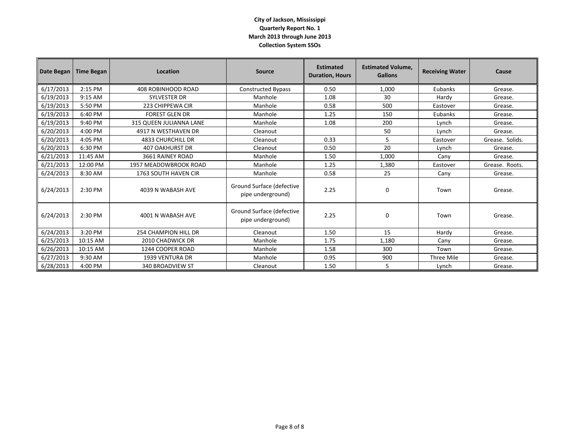| Date Began | <b>Time Began</b> | Location                 | <b>Source</b>                                  | <b>Estimated</b><br><b>Duration, Hours</b> | <b>Estimated Volume.</b><br><b>Gallons</b> | <b>Receiving Water</b> | Cause           |
|------------|-------------------|--------------------------|------------------------------------------------|--------------------------------------------|--------------------------------------------|------------------------|-----------------|
| 6/17/2013  | 2:15 PM           | 408 ROBINHOOD ROAD       | <b>Constructed Bypass</b>                      | 0.50                                       | 1,000                                      | Eubanks                | Grease.         |
| 6/19/2013  | 9:15 AM           | <b>SYLVESTER DR</b>      | Manhole                                        | 1.08                                       | 30                                         | Hardy                  | Grease.         |
| 6/19/2013  | 5:50 PM           | 223 CHIPPEWA CIR         | Manhole                                        | 0.58                                       | 500                                        | Eastover               | Grease.         |
| 6/19/2013  | 6:40 PM           | <b>FOREST GLEN DR</b>    | Manhole                                        | 1.25                                       | 150                                        | Eubanks                | Grease.         |
| 6/19/2013  | 9:40 PM           | 315 QUEEN JULIANNA LANE  | Manhole                                        | 1.08                                       | 200                                        | Lynch                  | Grease.         |
| 6/20/2013  | 4:00 PM           | 4917 N WESTHAVEN DR      | Cleanout                                       |                                            | 50                                         | Lynch                  | Grease.         |
| 6/20/2013  | 4:05 PM           | <b>4833 CHURCHILL DR</b> | Cleanout                                       | 0.33                                       | 5                                          | Eastover               | Grease. Solids. |
| 6/20/2013  | 6:30 PM           | <b>407 OAKHURST DR</b>   | Cleanout                                       | 0.50                                       | 20                                         | Lynch                  | Grease.         |
| 6/21/2013  | 11:45 AM          | 3661 RAINEY ROAD         | Manhole                                        | 1.50                                       | 1.000                                      | Cany                   | Grease.         |
| 6/21/2013  | 12:00 PM          | 1957 MEADOWBROOK ROAD    | Manhole                                        | 1.25                                       | 1,380                                      | Eastover               | Grease. Roots.  |
| 6/24/2013  | 8:30 AM           | 1763 SOUTH HAVEN CIR     | Manhole                                        | 0.58                                       | 25                                         | Cany                   | Grease.         |
| 6/24/2013  | 2:30 PM           | 4039 N WABASH AVE        | Ground Surface (defective<br>pipe underground) | 2.25                                       | 0                                          | Town                   | Grease.         |
| 6/24/2013  | 2:30 PM           | 4001 N WABASH AVE        | Ground Surface (defective<br>pipe underground) | 2.25                                       | 0                                          | Town                   | Grease.         |
| 6/24/2013  | 3:20 PM           | 254 CHAMPION HILL DR     | Cleanout                                       | 1.50                                       | 15                                         | Hardy                  | Grease.         |
| 6/25/2013  | 10:15 AM          | 2010 CHADWICK DR         | Manhole                                        | 1.75                                       | 1,180                                      | Cany                   | Grease.         |
| 6/26/2013  | 10:15 AM          | 1244 COOPER ROAD         | Manhole                                        | 1.58                                       | 300                                        | Town                   | Grease.         |
| 6/27/2013  | 9:30 AM           | <b>1939 VENTURA DR</b>   | Manhole                                        | 0.95                                       | 900                                        | Three Mile             | Grease.         |
| 6/28/2013  | 4:00 PM           | <b>340 BROADVIEW ST</b>  | Cleanout                                       | 1.50                                       | 5                                          | Lynch                  | Grease.         |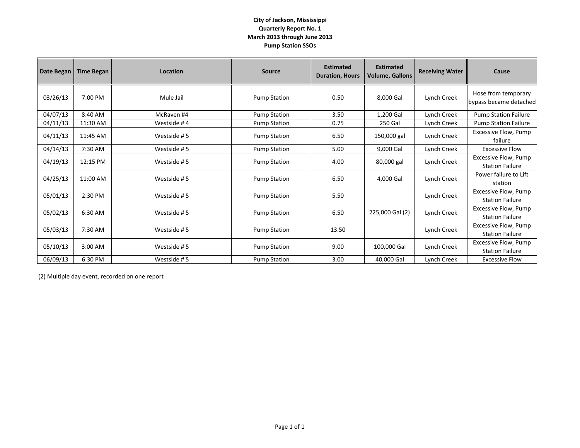#### **City of Jackson, Mississippi Quarterly Report No. 1 March 2013 through June 2013 Pump Station SSOs**

| Date Began | <b>Time Began</b> | Location    | <b>Source</b>       | <b>Estimated</b><br><b>Duration, Hours</b> | <b>Estimated</b><br><b>Volume, Gallons</b> | <b>Receiving Water</b> | Cause                                                 |
|------------|-------------------|-------------|---------------------|--------------------------------------------|--------------------------------------------|------------------------|-------------------------------------------------------|
| 03/26/13   | 7:00 PM           | Mule Jail   | <b>Pump Station</b> | 0.50                                       | 8,000 Gal                                  | Lynch Creek            | Hose from temporary<br>bypass became detached         |
| 04/07/13   | 8:40 AM           | McRaven #4  | <b>Pump Station</b> | 3.50                                       | 1,200 Gal                                  | Lynch Creek            | <b>Pump Station Failure</b>                           |
| 04/11/13   | 11:30 AM          | Westside #4 | <b>Pump Station</b> | 0.75                                       | 250 Gal                                    | Lynch Creek            | <b>Pump Station Failure</b>                           |
| 04/11/13   | 11:45 AM          | Westside #5 | <b>Pump Station</b> | 6.50                                       | 150,000 gal                                | Lynch Creek            | Excessive Flow, Pump<br>failure                       |
| 04/14/13   | 7:30 AM           | Westside #5 | <b>Pump Station</b> | 5.00                                       | 9,000 Gal                                  | Lynch Creek            | <b>Excessive Flow</b>                                 |
| 04/19/13   | 12:15 PM          | Westside #5 | <b>Pump Station</b> | 4.00                                       | 80,000 gal                                 | Lynch Creek            | Excessive Flow, Pump<br><b>Station Failure</b>        |
| 04/25/13   | 11:00 AM          | Westside #5 | <b>Pump Station</b> | 6.50                                       | 4,000 Gal                                  | Lynch Creek            | Power failure to Lift<br>station                      |
| 05/01/13   | 2:30 PM           | Westside #5 | <b>Pump Station</b> | 5.50                                       |                                            | Lynch Creek            | <b>Excessive Flow, Pump</b><br><b>Station Failure</b> |
| 05/02/13   | 6:30 AM           | Westside #5 | <b>Pump Station</b> | 6.50                                       | 225,000 Gal (2)                            | Lynch Creek            | Excessive Flow, Pump<br><b>Station Failure</b>        |
| 05/03/13   | 7:30 AM           | Westside #5 | <b>Pump Station</b> | 13.50                                      |                                            | Lynch Creek            | Excessive Flow, Pump<br><b>Station Failure</b>        |
| 05/10/13   | 3:00 AM           | Westside #5 | <b>Pump Station</b> | 9.00                                       | 100,000 Gal                                | Lynch Creek            | Excessive Flow, Pump<br><b>Station Failure</b>        |
| 06/09/13   | 6:30 PM           | Westside #5 | <b>Pump Station</b> | 3.00                                       | 40,000 Gal                                 | Lynch Creek            | <b>Excessive Flow</b>                                 |

(2) Multiple day event, recorded on one report